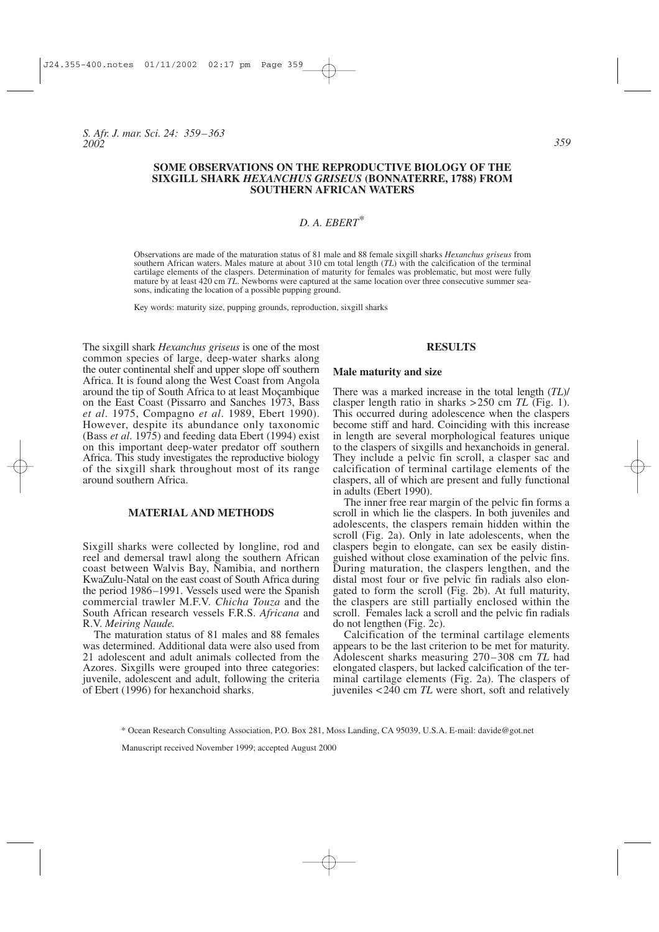*S. Afr. J. mar. Sci. 24: 359–363 2002*

# **SOME OBSERVATIONS ON THE REPRODUCTIVE BIOLOGY OF THE SIXGILL SHARK** *HEXANCHUS GRISEUS* **(BONNATERRE, 1788) FROM SOUTHERN AFRICAN WATERS**

# *D. A. EBERT\**

Observations are made of the maturation status of 81 male and 88 female sixgill sharks *Hexanchus griseus* from southern African waters. Males mature at about 310 cm total length (*TL*) with the calcification of the terminal cartilage elements of the claspers. Determination of maturity for females was problematic, but most were fully mature by at least 420 cm *TL*. Newborns were captured at the same location over three consecutive summer seasons, indicating the location of a possible pupping ground.

Key words: maturity size, pupping grounds, reproduction, sixgill sharks

The sixgill shark *Hexanchus griseus* is one of the most common species of large, deep-water sharks along the outer continental shelf and upper slope off southern Africa. It is found along the West Coast from Angola around the tip of South Africa to at least Moçambique on the East Coast (Pissarro and Sanches 1973, Bass *et al*. 1975, Compagno *et al*. 1989, Ebert 1990). However, despite its abundance only taxonomic (Bass *et al*. 1975) and feeding data Ebert (1994) exist on this important deep-water predator off southern Africa. This study investigates the reproductive biology of the sixgill shark throughout most of its range around southern Africa.

# **MATERIAL AND METHODS**

Sixgill sharks were collected by longline, rod and reel and demersal trawl along the southern African coast between Walvis Bay, Namibia, and northern KwaZulu-Natal on the east coast of South Africa during the period 1986–1991. Vessels used were the Spanish commercial trawler M.F.V. *Chicha Touza* and the South African research vessels F.R.S. *Africana* and R.V. *Meiring Naude.*

The maturation status of 81 males and 88 females was determined. Additional data were also used from 21 adolescent and adult animals collected from the Azores. Sixgills were grouped into three categories: juvenile, adolescent and adult, following the criteria of Ebert (1996) for hexanchoid sharks.

#### **RESULTS**

#### **Male maturity and size**

There was a marked increase in the total length (*TL*)/ clasper length ratio in sharks >250 cm *TL* (Fig. 1). This occurred during adolescence when the claspers become stiff and hard. Coinciding with this increase in length are several morphological features unique to the claspers of sixgills and hexanchoids in general. They include a pelvic fin scroll, a clasper sac and calcification of terminal cartilage elements of the claspers, all of which are present and fully functional in adults (Ebert 1990).

The inner free rear margin of the pelvic fin forms a scroll in which lie the claspers. In both juveniles and adolescents, the claspers remain hidden within the scroll (Fig. 2a). Only in late adolescents, when the claspers begin to elongate, can sex be easily distinguished without close examination of the pelvic fins. During maturation, the claspers lengthen, and the distal most four or five pelvic fin radials also elongated to form the scroll (Fig. 2b). At full maturity, the claspers are still partially enclosed within the scroll. Females lack a scroll and the pelvic fin radials do not lengthen (Fig. 2c).

Calcification of the terminal cartilage elements appears to be the last criterion to be met for maturity. Adolescent sharks measuring 270–308 cm *TL* had elongated claspers, but lacked calcification of the terminal cartilage elements (Fig. 2a). The claspers of juveniles <240 cm *TL* were short, soft and relatively

\* Ocean Research Consulting Association, P.O. Box 281, Moss Landing, CA 95039, U.S.A. E-mail: davide@got.net

Manuscript received November 1999; accepted August 2000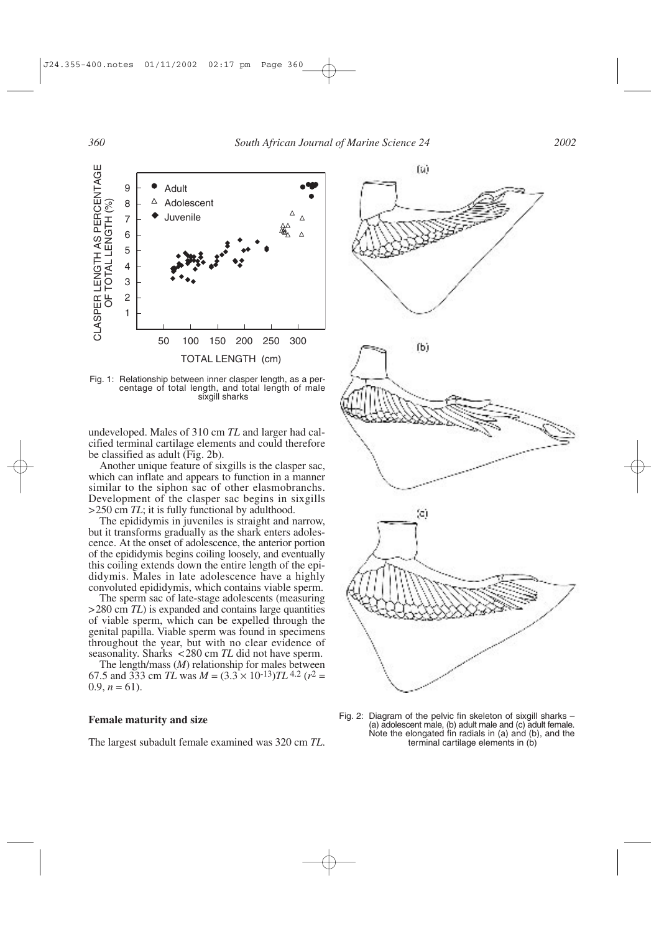

Fig. 1: Relationship between inner clasper length, as a percentage of total length, and total length of male sixgill sharks

undeveloped. Males of 310 cm *TL* and larger had calcified terminal cartilage elements and could therefore be classified as adult (Fig. 2b).

Another unique feature of sixgills is the clasper sac, which can inflate and appears to function in a manner similar to the siphon sac of other elasmobranchs. Development of the clasper sac begins in sixgills >250 cm *TL*; it is fully functional by adulthood.

The epididymis in juveniles is straight and narrow, but it transforms gradually as the shark enters adolescence. At the onset of adolescence, the anterior portion of the epididymis begins coiling loosely, and eventually this coiling extends down the entire length of the epididymis. Males in late adolescence have a highly convoluted epididymis, which contains viable sperm.

The sperm sac of late-stage adolescents (measuring >280 cm *TL*) is expanded and contains large quantities of viable sperm, which can be expelled through the genital papilla. Viable sperm was found in specimens throughout the year, but with no clear evidence of seasonality. Sharks <280 cm *TL* did not have sperm.

The length/mass (*M*) relationship for males between 67.5 and 333 cm *TL* was  $M = (3.3 \times 10^{-13})TL^{4.2}$  ( $r^2 =$  $0.9, n = 61$ ).

### **Female maturity and size**

The largest subadult female examined was 320 cm *TL*.



Fig. 2: Diagram of the pelvic fin skeleton of sixgill sharks – (a) adolescent male, (b) adult male and (c) adult female. Note the elongated fin radials in (a) and (b), and the terminal cartilage elements in (b)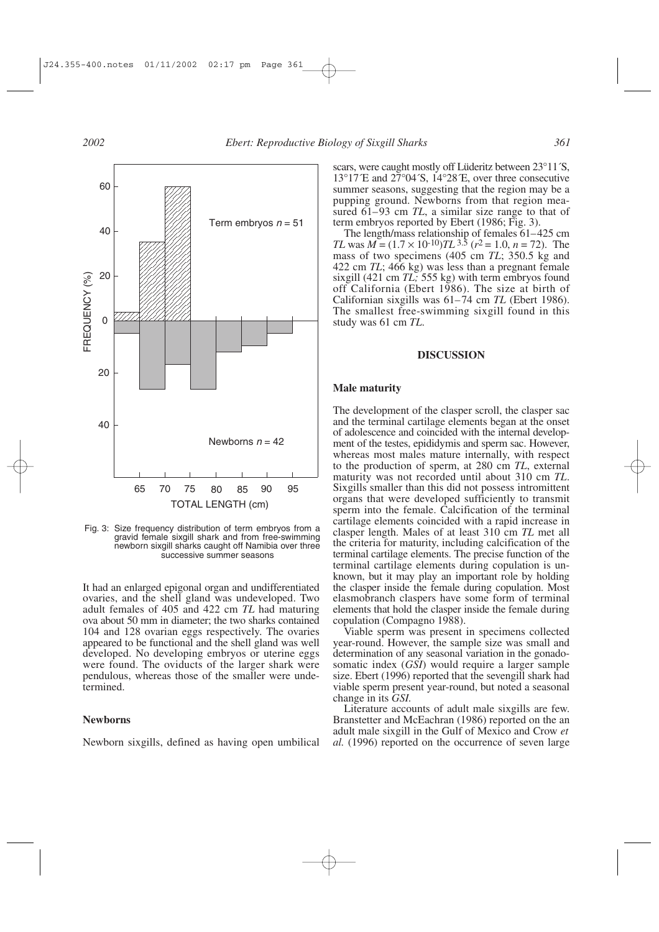

Fig. 3: Size frequency distribution of term embryos from a gravid female sixgill shark and from free-swimming newborn sixgill sharks caught off Namibia over three successive summer seasons

It had an enlarged epigonal organ and undifferentiated ovaries, and the shell gland was undeveloped. Two adult females of 405 and 422 cm *TL* had maturing ova about 50 mm in diameter; the two sharks contained 104 and 128 ovarian eggs respectively. The ovaries appeared to be functional and the shell gland was well developed. No developing embryos or uterine eggs were found. The oviducts of the larger shark were pendulous, whereas those of the smaller were undetermined.

### **Newborns**

Newborn sixgills, defined as having open umbilical

scars, were caught mostly off Lüderitz between 23°11´S,  $13^{\circ}17^{\circ}$ E and  $27^{\circ}04^{\circ}$ S,  $14^{\circ}28^{\circ}$ E, over three consecutive summer seasons, suggesting that the region may be a pupping ground. Newborns from that region measured 61–93 cm *TL*, a similar size range to that of term embryos reported by Ebert (1986; Fig. 3).

The length/mass relationship of females 61–425 cm *TL* was  $M = (1.7 \times 10^{-10})TL^{3.5}$  ( $r^2 = 1.0$ ,  $n = 72$ ). The mass of two specimens (405 cm *TL*; 350.5 kg and 422 cm *TL*; 466 kg) was less than a pregnant female sixgill (421 cm *TL;* 555 kg) with term embryos found off California (Ebert 1986). The size at birth of Californian sixgills was 61–74 cm *TL* (Ebert 1986). The smallest free-swimming sixgill found in this study was 61 cm *TL*.

# **DISCUSSION**

#### **Male maturity**

The development of the clasper scroll, the clasper sac and the terminal cartilage elements began at the onset of adolescence and coincided with the internal development of the testes, epididymis and sperm sac. However, whereas most males mature internally, with respect to the production of sperm, at 280 cm *TL*, external maturity was not recorded until about 310 cm *TL*. Sixgills smaller than this did not possess intromittent organs that were developed sufficiently to transmit sperm into the female. Calcification of the terminal cartilage elements coincided with a rapid increase in clasper length. Males of at least 310 cm *TL* met all the criteria for maturity, including calcification of the terminal cartilage elements. The precise function of the terminal cartilage elements during copulation is unknown, but it may play an important role by holding the clasper inside the female during copulation. Most elasmobranch claspers have some form of terminal elements that hold the clasper inside the female during copulation (Compagno 1988).

Viable sperm was present in specimens collected year-round. However, the sample size was small and determination of any seasonal variation in the gonadosomatic index (*GSI*) would require a larger sample size. Ebert (1996) reported that the sevengill shark had viable sperm present year-round, but noted a seasonal change in its *GSI.*

Literature accounts of adult male sixgills are few. Branstetter and McEachran (1986) reported on the an adult male sixgill in the Gulf of Mexico and Crow *et al.* (1996) reported on the occurrence of seven large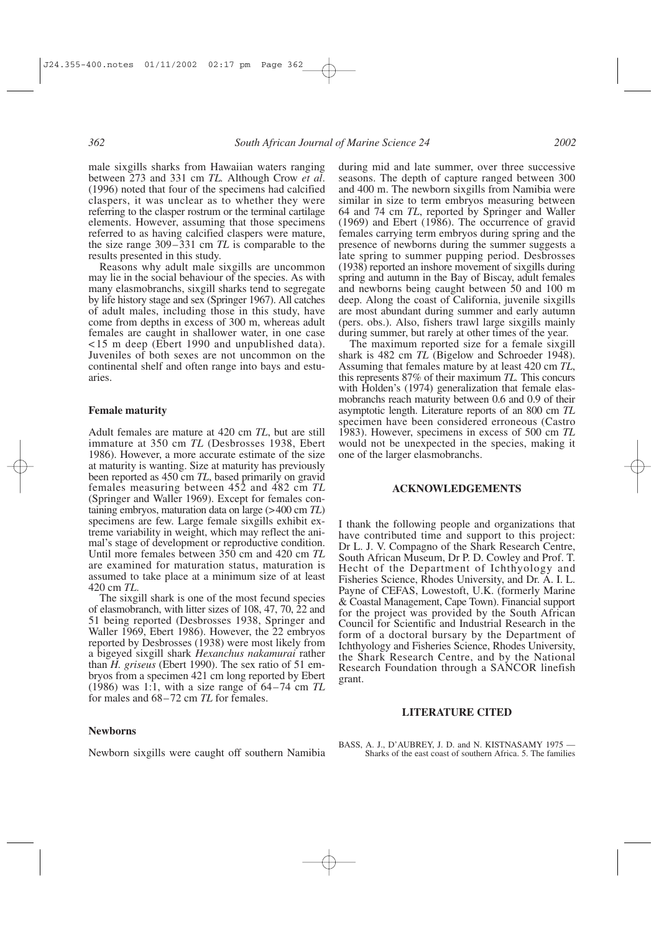#### *362 South African Journal of Marine Science 24 2002*

male sixgills sharks from Hawaiian waters ranging between 273 and 331 cm *TL.* Although Crow *et al*. (1996) noted that four of the specimens had calcified claspers, it was unclear as to whether they were referring to the clasper rostrum or the terminal cartilage elements. However, assuming that those specimens referred to as having calcified claspers were mature, the size range 309–331 cm *TL* is comparable to the results presented in this study.

Reasons why adult male sixgills are uncommon may lie in the social behaviour of the species. As with many elasmobranchs, sixgill sharks tend to segregate by life history stage and sex (Springer 1967). All catches of adult males, including those in this study, have come from depths in excess of 300 m, whereas adult females are caught in shallower water, in one case <15 m deep (Ebert 1990 and unpublished data). Juveniles of both sexes are not uncommon on the continental shelf and often range into bays and estuaries.

#### **Female maturity**

Adult females are mature at 420 cm *TL*, but are still immature at 350 cm *TL* (Desbrosses 1938, Ebert 1986). However, a more accurate estimate of the size at maturity is wanting. Size at maturity has previously been reported as 450 cm *TL*, based primarily on gravid females measuring between 452 and 482 cm *TL* (Springer and Waller 1969). Except for females containing embryos, maturation data on large (>400 cm *TL*) specimens are few. Large female sixgills exhibit extreme variability in weight, which may reflect the animal's stage of development or reproductive condition. Until more females between 350 cm and 420 cm *TL* are examined for maturation status, maturation is assumed to take place at a minimum size of at least 420 cm *TL*. The sixgill shark is one of the most fecund species

of elasmobranch, with litter sizes of 108, 47, 70, 22 and 51 being reported (Desbrosses 1938, Springer and Waller 1969, Ebert 1986). However, the 22 embryos reported by Desbrosses (1938) were most likely from a bigeyed sixgill shark *Hexanchus nakamurai* rather than *H. griseus* (Ebert 1990). The sex ratio of 51 embryos from a specimen 421 cm long reported by Ebert (1986) was 1:1, with a size range of 64–74 cm *TL* for males and 68–72 cm *TL* for females.

# **Newborns**

Newborn sixgills were caught off southern Namibia

during mid and late summer, over three successive seasons. The depth of capture ranged between 300 and 400 m. The newborn sixgills from Namibia were similar in size to term embryos measuring between 64 and 74 cm *TL*, reported by Springer and Waller (1969) and Ebert (1986). The occurrence of gravid females carrying term embryos during spring and the presence of newborns during the summer suggests a late spring to summer pupping period. Desbrosses (1938) reported an inshore movement of sixgills during spring and autumn in the Bay of Biscay, adult females and newborns being caught between 50 and 100 m deep. Along the coast of California, juvenile sixgills are most abundant during summer and early autumn (pers. obs.). Also, fishers trawl large sixgills mainly during summer, but rarely at other times of the year.

The maximum reported size for a female sixgill shark is 482 cm *TL* (Bigelow and Schroeder 1948). Assuming that females mature by at least 420 cm *TL*, this represents 87% of their maximum *TL.* This concurs with Holden's (1974) generalization that female elasmobranchs reach maturity between 0.6 and 0.9 of their asymptotic length. Literature reports of an 800 cm *TL* specimen have been considered erroneous (Castro 1983). However, specimens in excess of 500 cm *TL* would not be unexpected in the species, making it one of the larger elasmobranchs.

### **ACKNOWLEDGEMENTS**

I thank the following people and organizations that have contributed time and support to this project: Dr L. J. V. Compagno of the Shark Research Centre, South African Museum, Dr P. D. Cowley and Prof. T. Hecht of the Department of Ichthyology and Fisheries Science, Rhodes University, and Dr. A. I. L. Payne of CEFAS, Lowestoft, U.K. (formerly Marine & Coastal Management, Cape Town). Financial support for the project was provided by the South African Council for Scientific and Industrial Research in the form of a doctoral bursary by the Department of Ichthyology and Fisheries Science, Rhodes University, the Shark Research Centre, and by the National Research Foundation through a SANCOR linefish grant.

#### **LITERATURE CITED**

BASS, A. J., D'AUBREY, J. D. and N. KISTNASAMY 1975 -Sharks of the east coast of southern Africa. 5. The families